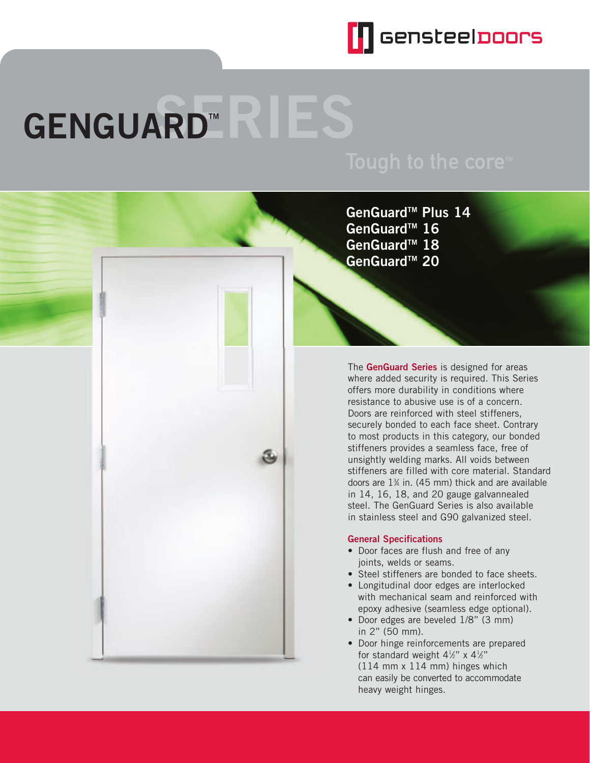

# GENGUARD<sup>\*</sup>

**GenGuardTM Plus 14** GenGuard<sup>™</sup> 16 **GenGuardTM 18 GenGuardTM 20**

The **GenGuard Series** is designed for areas where added security is required. This Series offers more durability in conditions where resistance to abusive use is of a concern. Doors are reinforced with steel stiffeners, securely bonded to each face sheet. Contrary to most products in this category, our bonded stiffeners provides a seamless face, free of unsightly welding marks. All voids between stiffeners are filled with core material. Standard doors are  $1\%$  in. (45 mm) thick and are available in 14, 16, 18, and 20 gauge galvannealed steel. The GenGuard Series is also available in stainless steel and G90 galvanized steel.

## **General Specifications**

- Door faces are flush and free of any joints, welds or seams.
- Steel stiffeners are bonded to face sheets.
- Longitudinal door edges are interlocked with mechanical seam and reinforced with epoxy adhesive (seamless edge optional).
- Door edges are beveled 1/8" (3 mm) in 2" (50 mm).
- Door hinge reinforcements are prepared for standard weight  $4\frac{1}{2}$ " x  $4\frac{1}{2}$ " (114 mm x 114 mm) hinges which can easily be converted to accommodate heavy weight hinges.